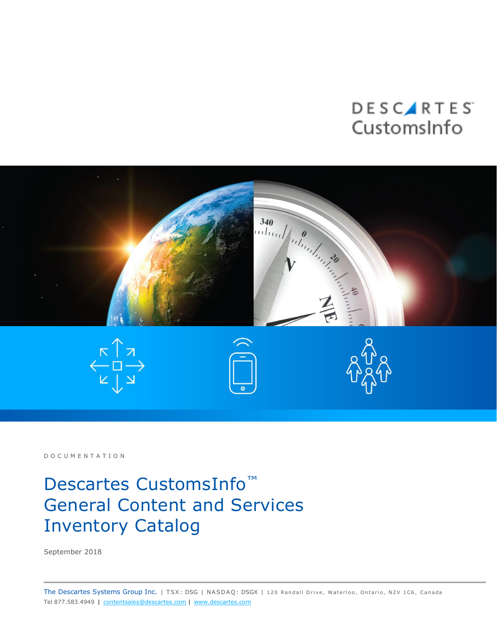# **DESCARTES** CustomsInfo



D O C U M E N T A T I O N

# Descartes CustomsInfo<sup>™</sup> General Content and Services Inventory Catalog

September 2018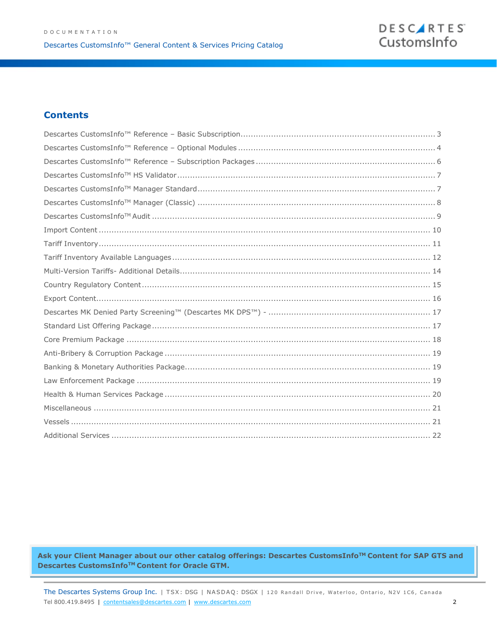#### **Contents**

Ask your Client Manager about our other catalog offerings: Descartes CustomsInfo™ Content for SAP GTS and Descartes CustomsInfo<sup>™</sup> Content for Oracle GTM.

The Descartes Systems Group Inc. | TSX: DSG | NASDAQ: DSGX | 120 Randall Drive, Waterloo, Ontario, N2V 1C6, Canada Tel 800.419.8495 | contentsales@descartes.com | www.descartes.com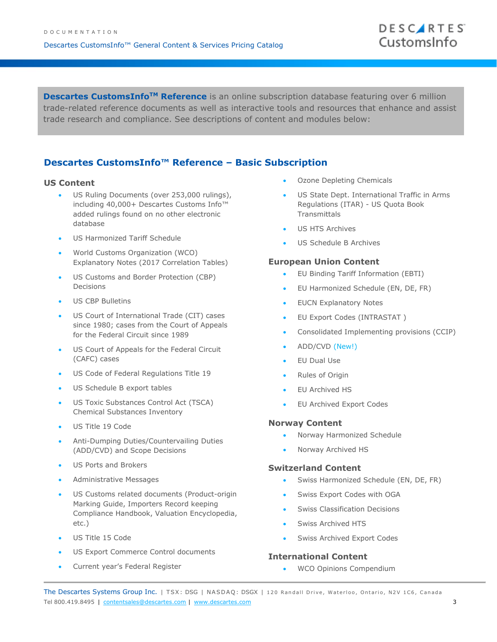Descartes CustomsInfo<sup>™</sup> Reference is an online subscription database featuring over 6 million trade-related reference documents as well as interactive tools and resources that enhance and assist trade research and compliance. See descriptions of content and modules below:

#### <span id="page-2-0"></span>**Descartes CustomsInfo™ Reference – Basic Subscription**

#### **US Content**

- US Ruling Documents (over 253,000 rulings), including 40,000+ Descartes Customs Info™ added rulings found on no other electronic database
- US Harmonized Tariff Schedule
- World Customs Organization (WCO) Explanatory Notes (2017 Correlation Tables)
- US Customs and Border Protection (CBP) Decisions
- US CBP Bulletins
- US Court of International Trade (CIT) cases since 1980; cases from the Court of Appeals for the Federal Circuit since 1989
- US Court of Appeals for the Federal Circuit (CAFC) cases
- US Code of Federal Regulations Title 19
- US Schedule B export tables
- US Toxic Substances Control Act (TSCA) Chemical Substances Inventory
- US Title 19 Code
- Anti-Dumping Duties/Countervailing Duties (ADD/CVD) and Scope Decisions
- US Ports and Brokers
- Administrative Messages
- US Customs related documents (Product-origin Marking Guide, Importers Record keeping Compliance Handbook, Valuation Encyclopedia, etc.)
- US Title 15 Code
- US Export Commerce Control documents
- Current year's Federal Register
- Ozone Depleting Chemicals
- US State Dept. International Traffic in Arms Regulations (ITAR) - US Quota Book **Transmittals**
- US HTS Archives
- US Schedule B Archives

#### **European Union Content**

- EU Binding Tariff Information (EBTI)
- EU Harmonized Schedule (EN, DE, FR)
- EUCN Explanatory Notes
- EU Export Codes (INTRASTAT )
- Consolidated Implementing provisions (CCIP)
- ADD/CVD (New!)
- EU Dual Use
- Rules of Origin
- **EU Archived HS**
- EU Archived Export Codes

#### **Norway Content**

- Norway Harmonized Schedule
- Norway Archived HS

#### **Switzerland Content**

- Swiss Harmonized Schedule (EN, DE, FR)
- Swiss Export Codes with OGA
- Swiss Classification Decisions
- Swiss Archived HTS
- Swiss Archived Export Codes

#### **International Content**

• WCO Opinions Compendium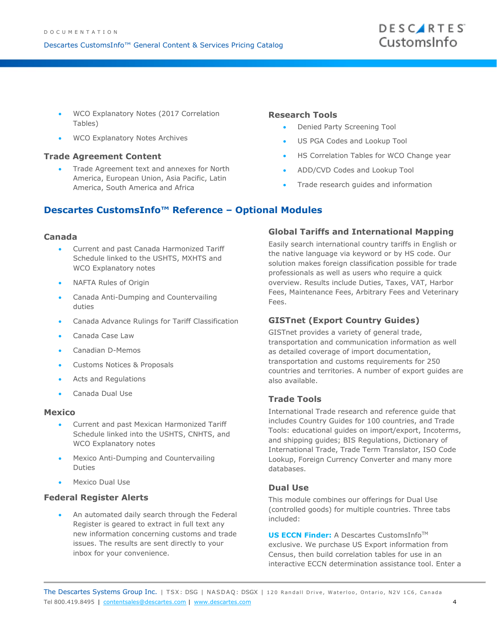- WCO Explanatory Notes (2017 Correlation Tables)
- WCO Explanatory Notes Archives

#### **Trade Agreement Content**

• Trade Agreement text and annexes for North America, European Union, Asia Pacific, Latin America, South America and Africa

#### **Research Tools**

- Denied Party Screening Tool
- US PGA Codes and Lookup Tool
- HS Correlation Tables for WCO Change year
- ADD/CVD Codes and Lookup Tool
- Trade research guides and information

# <span id="page-3-0"></span>**Descartes CustomsInfo™ Reference – Optional Modules**

#### **Canada**

- Current and past Canada Harmonized Tariff Schedule linked to the USHTS, MXHTS and WCO Explanatory notes
- NAFTA Rules of Origin
- Canada Anti-Dumping and Countervailing duties
- Canada Advance Rulings for Tariff Classification
- Canada Case Law
- Canadian D-Memos
- Customs Notices & Proposals
- Acts and Regulations
- Canada Dual Use

#### **Mexico**

- Current and past Mexican Harmonized Tariff Schedule linked into the USHTS, CNHTS, and WCO Explanatory notes
- Mexico Anti-Dumping and Countervailing Duties
- Mexico Dual Use

#### **Federal Register Alerts**

• An automated daily search through the Federal Register is geared to extract in full text any new information concerning customs and trade issues. The results are sent directly to your inbox for your convenience.

#### **Global Tariffs and International Mapping**

Easily search international country tariffs in English or the native language via keyword or by HS code. Our solution makes foreign classification possible for trade professionals as well as users who require a quick overview. Results include Duties, Taxes, VAT, Harbor Fees, Maintenance Fees, Arbitrary Fees and Veterinary Fees.

#### **GISTnet (Export Country Guides)**

GISTnet provides a variety of general trade, transportation and communication information as well as detailed coverage of import documentation, transportation and customs requirements for 250 countries and territories. A number of export guides are also available.

#### **Trade Tools**

International Trade research and reference guide that includes Country Guides for 100 countries, and Trade Tools: educational guides on import/export, Incoterms, and shipping guides; BIS Regulations, Dictionary of International Trade, Trade Term Translator, ISO Code Lookup, Foreign Currency Converter and many more databases.

#### **Dual Use**

This module combines our offerings for Dual Use (controlled goods) for multiple countries. Three tabs included:

**US ECCN Finder:** A Descartes CustomsInfo™ exclusive. We purchase US Export information from Census, then build correlation tables for use in an interactive ECCN determination assistance tool. Enter a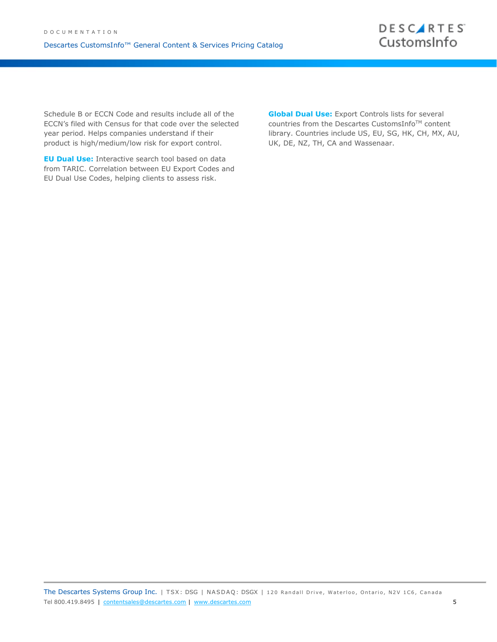Schedule B or ECCN Code and results include all of the ECCN's filed with Census for that code over the selected year period. Helps companies understand if their product is high/medium/low risk for export control.

**EU Dual Use:** Interactive search tool based on data from TARIC. Correlation between EU Export Codes and EU Dual Use Codes, helping clients to assess risk.

**Global Dual Use:** Export Controls lists for several countries from the Descartes CustomsInfo™ content library. Countries include US, EU, SG, HK, CH, MX, AU, UK, DE, NZ, TH, CA and Wassenaar.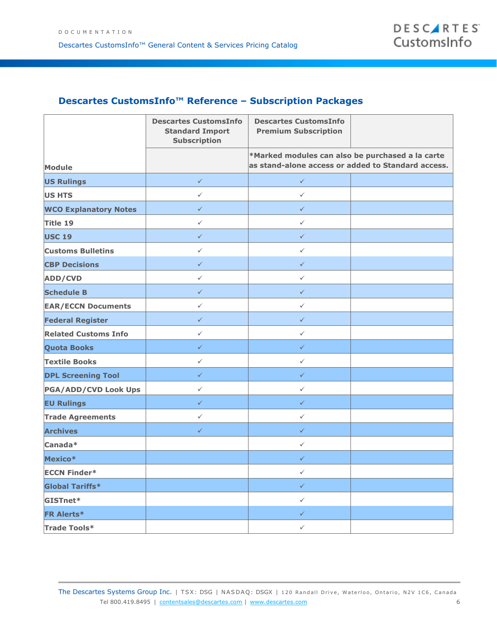## <span id="page-5-0"></span>**Descartes CustomsInfo™ Reference – Subscription Packages**

|                              | <b>Descartes CustomsInfo</b><br><b>Standard Import</b><br><b>Subscription</b> | <b>Descartes CustomsInfo</b><br><b>Premium Subscription</b>                                            |  |
|------------------------------|-------------------------------------------------------------------------------|--------------------------------------------------------------------------------------------------------|--|
| Module                       |                                                                               | *Marked modules can also be purchased a la carte<br>as stand-alone access or added to Standard access. |  |
| <b>US Rulings</b>            | $\checkmark$                                                                  | $\checkmark$                                                                                           |  |
| <b>US HTS</b>                | $\checkmark$                                                                  | $\checkmark$                                                                                           |  |
| <b>WCO Explanatory Notes</b> | $\checkmark$                                                                  | $\checkmark$                                                                                           |  |
| Title 19                     | $\checkmark$                                                                  | $\checkmark$                                                                                           |  |
| <b>USC 19</b>                | $\checkmark$                                                                  | $\checkmark$                                                                                           |  |
| <b>Customs Bulletins</b>     | $\checkmark$                                                                  | $\checkmark$                                                                                           |  |
| <b>CBP Decisions</b>         | $\checkmark$                                                                  | $\checkmark$                                                                                           |  |
| <b>ADD/CVD</b>               | $\checkmark$                                                                  | $\checkmark$                                                                                           |  |
| <b>Schedule B</b>            | $\checkmark$                                                                  | $\checkmark$                                                                                           |  |
| <b>EAR/ECCN Documents</b>    | $\checkmark$                                                                  | $\checkmark$                                                                                           |  |
| <b>Federal Register</b>      | $\checkmark$                                                                  | $\checkmark$                                                                                           |  |
| <b>Related Customs Info</b>  | $\checkmark$                                                                  | $\checkmark$                                                                                           |  |
| <b>Quota Books</b>           | $\checkmark$                                                                  | $\checkmark$                                                                                           |  |
| <b>Textile Books</b>         | $\checkmark$                                                                  | $\checkmark$                                                                                           |  |
| <b>DPL Screening Tool</b>    | $\checkmark$                                                                  | $\checkmark$                                                                                           |  |
| <b>PGA/ADD/CVD Look Ups</b>  | $\checkmark$                                                                  | $\checkmark$                                                                                           |  |
| <b>EU Rulings</b>            | $\checkmark$                                                                  | $\checkmark$                                                                                           |  |
| <b>Trade Agreements</b>      | $\checkmark$                                                                  | $\checkmark$                                                                                           |  |
| <b>Archives</b>              | $\checkmark$                                                                  | $\checkmark$                                                                                           |  |
| Canada*                      |                                                                               | $\checkmark$                                                                                           |  |
| Mexico*                      |                                                                               | $\checkmark$                                                                                           |  |
| <b>ECCN Finder*</b>          |                                                                               | $\checkmark$                                                                                           |  |
| <b>Global Tariffs*</b>       |                                                                               | $\checkmark$                                                                                           |  |
| GISTnet*                     |                                                                               | $\checkmark$                                                                                           |  |
| <b>FR Alerts*</b>            |                                                                               | $\checkmark$                                                                                           |  |
| Trade Tools*                 |                                                                               | $\checkmark$                                                                                           |  |

The Descartes Systems Group Inc. | TSX: DSG | NASDAQ: DSGX | 120 Randall Drive, Waterloo, Ontario, N2V 1C6, Canada Tel 800.419.8495 | [contentsales@descartes.com](mailto:contentsales@descartes.com) | [www.descartes.com](http://www.descartes.com/) 6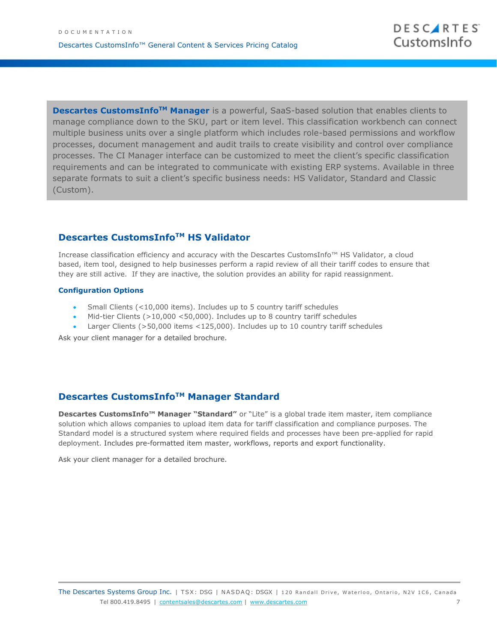**Descartes CustomsInfoTM Manager** is a powerful, SaaS-based solution that enables clients to manage compliance down to the SKU, part or item level. This classification workbench can connect multiple business units over a single platform which includes role-based permissions and workflow processes, document management and audit trails to create visibility and control over compliance processes. The CI Manager interface can be customized to meet the client's specific classification requirements and can be integrated to communicate with existing ERP systems. Available in three separate formats to suit a client's specific business needs: HS Validator, Standard and Classic (Custom).

#### <span id="page-6-0"></span>**Descartes CustomsInfoTM HS Validator**

Increase classification efficiency and accuracy with the Descartes CustomsInfo™ HS Validator, a cloud based, item tool, designed to help businesses perform a rapid review of all their tariff codes to ensure that they are still active. If they are inactive, the solution provides an ability for rapid reassignment.

#### **Configuration Options**

- Small Clients (<10,000 items). Includes up to 5 country tariff schedules
- Mid-tier Clients (>10,000 <50,000). Includes up to 8 country tariff schedules
- Larger Clients (>50,000 items <125,000). Includes up to 10 country tariff schedules

Ask your client manager for a detailed brochure.

# <span id="page-6-1"></span>**Descartes CustomsInfoTM Manager Standard**

**Descartes CustomsInfo™ Manager "Standard"** or "Lite" is a global trade item master, item compliance solution which allows companies to upload item data for tariff classification and compliance purposes. The Standard model is a structured system where required fields and processes have been pre-applied for rapid deployment. Includes pre-formatted item master, workflows, reports and export functionality.

Ask your client manager for a detailed brochure.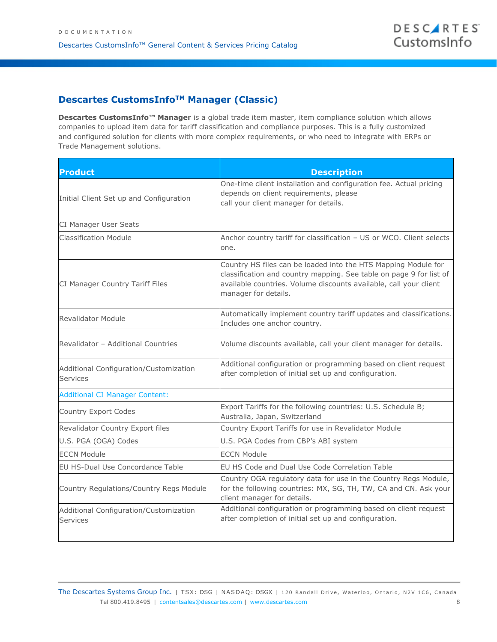## <span id="page-7-0"></span>**Descartes CustomsInfoTM Manager (Classic)**

**Descartes CustomsInfo™ Manager** is a global trade item master, item compliance solution which allows companies to upload item data for tariff classification and compliance purposes. This is a fully customized and configured solution for clients with more complex requirements, or who need to integrate with ERPs or Trade Management solutions.

| <b>Product</b>                                            | <b>Description</b>                                                                                                                                                                                                                 |
|-----------------------------------------------------------|------------------------------------------------------------------------------------------------------------------------------------------------------------------------------------------------------------------------------------|
| Initial Client Set up and Configuration                   | One-time client installation and configuration fee. Actual pricing<br>depends on client requirements, please<br>call your client manager for details.                                                                              |
| CI Manager User Seats                                     |                                                                                                                                                                                                                                    |
| <b>Classification Module</b>                              | Anchor country tariff for classification - US or WCO. Client selects<br>one.                                                                                                                                                       |
| CI Manager Country Tariff Files                           | Country HS files can be loaded into the HTS Mapping Module for<br>classification and country mapping. See table on page 9 for list of<br>available countries. Volume discounts available, call your client<br>manager for details. |
| Revalidator Module                                        | Automatically implement country tariff updates and classifications.<br>Includes one anchor country.                                                                                                                                |
| Revalidator - Additional Countries                        | Volume discounts available, call your client manager for details.                                                                                                                                                                  |
| Additional Configuration/Customization<br><b>Services</b> | Additional configuration or programming based on client request<br>after completion of initial set up and configuration.                                                                                                           |
| <b>Additional CI Manager Content:</b>                     |                                                                                                                                                                                                                                    |
| <b>Country Export Codes</b>                               | Export Tariffs for the following countries: U.S. Schedule B;<br>Australia, Japan, Switzerland                                                                                                                                      |
| Revalidator Country Export files                          | Country Export Tariffs for use in Revalidator Module                                                                                                                                                                               |
| U.S. PGA (OGA) Codes                                      | U.S. PGA Codes from CBP's ABI system                                                                                                                                                                                               |
| <b>ECCN Module</b>                                        | <b>ECCN Module</b>                                                                                                                                                                                                                 |
| EU HS-Dual Use Concordance Table                          | EU HS Code and Dual Use Code Correlation Table                                                                                                                                                                                     |
| Country Regulations/Country Regs Module                   | Country OGA regulatory data for use in the Country Regs Module,<br>for the following countries: MX, SG, TH, TW, CA and CN. Ask your<br>client manager for details.                                                                 |
| Additional Configuration/Customization<br>Services        | Additional configuration or programming based on client request<br>after completion of initial set up and configuration.                                                                                                           |

The Descartes Systems Group Inc. | TSX: DSG | NASDAQ: DSGX | 120 Randall Drive, Waterloo, Ontario, N2V 1C6, Canada Tel 800.419.8495 | [contentsales@descartes.com](mailto:contentsales@descartes.com) | [www.descartes.com](http://www.descartes.com/) 8 8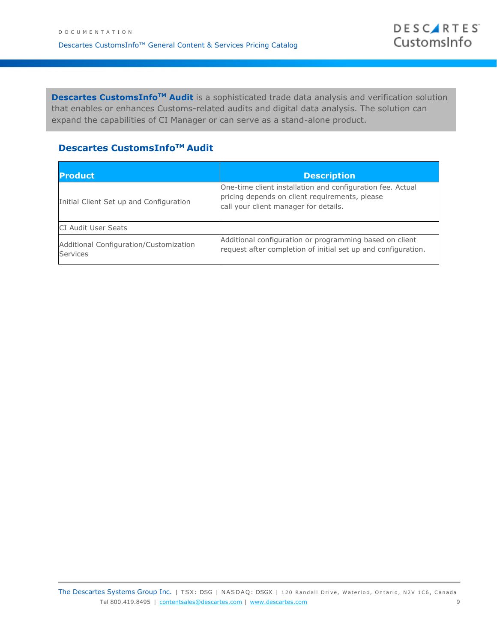**Descartes CustomsInfoTM Audit** is a sophisticated trade data analysis and verification solution that enables or enhances Customs-related audits and digital data analysis. The solution can expand the capabilities of CI Manager or can serve as a stand-alone product.

#### <span id="page-8-0"></span>**Descartes CustomsInfoTM Audit**

| <b>Product</b>                                            | <b>Description</b>                                                                                                                                    |
|-----------------------------------------------------------|-------------------------------------------------------------------------------------------------------------------------------------------------------|
| Initial Client Set up and Configuration                   | One-time client installation and configuration fee. Actual<br>pricing depends on client requirements, please<br>call your client manager for details. |
| CI Audit User Seats                                       |                                                                                                                                                       |
| Additional Configuration/Customization<br><b>Services</b> | Additional configuration or programming based on client<br>request after completion of initial set up and configuration.                              |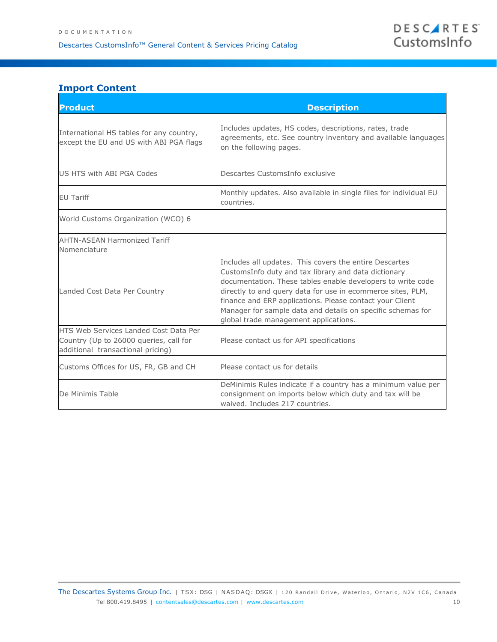# <span id="page-9-0"></span>**Import Content**

| <b>Product</b>                                                                                                       | <b>Description</b>                                                                                                                                                                                                                                                                                                                                                                                               |
|----------------------------------------------------------------------------------------------------------------------|------------------------------------------------------------------------------------------------------------------------------------------------------------------------------------------------------------------------------------------------------------------------------------------------------------------------------------------------------------------------------------------------------------------|
| International HS tables for any country,<br>except the EU and US with ABI PGA flags                                  | Includes updates, HS codes, descriptions, rates, trade<br>agreements, etc. See country inventory and available languages<br>on the following pages.                                                                                                                                                                                                                                                              |
| US HTS with ABI PGA Codes                                                                                            | Descartes CustomsInfo exclusive                                                                                                                                                                                                                                                                                                                                                                                  |
| <b>EU Tariff</b>                                                                                                     | Monthly updates. Also available in single files for individual EU<br>countries.                                                                                                                                                                                                                                                                                                                                  |
| World Customs Organization (WCO) 6                                                                                   |                                                                                                                                                                                                                                                                                                                                                                                                                  |
| <b>AHTN-ASFAN Harmonized Tariff</b><br>Nomenclature                                                                  |                                                                                                                                                                                                                                                                                                                                                                                                                  |
| Landed Cost Data Per Country                                                                                         | Includes all updates. This covers the entire Descartes<br>CustomsInfo duty and tax library and data dictionary<br>documentation. These tables enable developers to write code<br>directly to and query data for use in ecommerce sites, PLM,<br>finance and ERP applications. Please contact your Client<br>Manager for sample data and details on specific schemas for<br>global trade management applications. |
| HTS Web Services Landed Cost Data Per<br>Country (Up to 26000 queries, call for<br>additional transactional pricing) | Please contact us for API specifications                                                                                                                                                                                                                                                                                                                                                                         |
| Customs Offices for US, FR, GB and CH                                                                                | Please contact us for details                                                                                                                                                                                                                                                                                                                                                                                    |
| De Minimis Table                                                                                                     | DeMinimis Rules indicate if a country has a minimum value per<br>consignment on imports below which duty and tax will be<br>waived. Includes 217 countries.                                                                                                                                                                                                                                                      |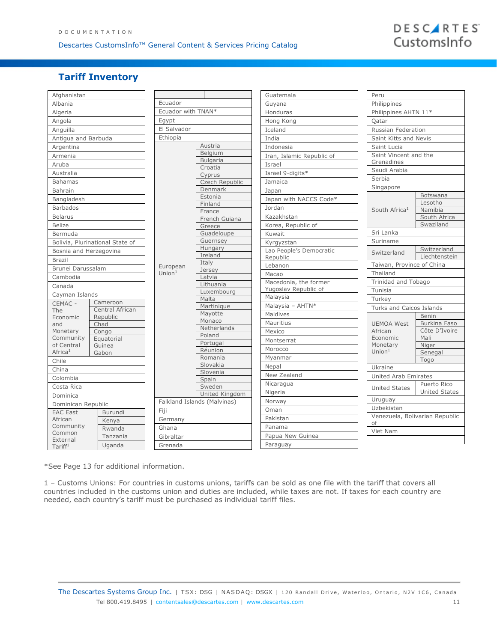## <span id="page-10-0"></span>**Tariff Inventory**

| Afghanistan            |                                 |                       |                             | Guatemala                           | Peru                        |                                |  |
|------------------------|---------------------------------|-----------------------|-----------------------------|-------------------------------------|-----------------------------|--------------------------------|--|
| Albania                |                                 | Ecuador               |                             | Guyana                              | Philippines                 |                                |  |
| Algeria                |                                 | Ecuador with TNAN*    |                             | <b>Honduras</b>                     |                             | Philippines AHTN 11*           |  |
| Angola                 |                                 | Egypt                 |                             | Hong Kong                           | Qatar                       |                                |  |
| Anguilla               |                                 | El Salvador           |                             | Iceland                             |                             | Russian Federation             |  |
| Antigua and Barbuda    |                                 | Ethiopia              |                             | India                               | Saint Kitts and Nevis       |                                |  |
| Argentina              |                                 |                       | Austria                     | Indonesia                           | Saint Lucia                 |                                |  |
| Armenia                |                                 |                       | Belaium                     | Iran, Islamic Republic of           | Saint Vincent and the       |                                |  |
| Aruba                  |                                 |                       | <b>Bulgaria</b>             | Israel                              | Grenadines                  |                                |  |
| Australia              |                                 |                       | Croatia<br>Cyprus           | Israel 9-digits*                    | Saudi Arabia                |                                |  |
| <b>Bahamas</b>         |                                 |                       | Czech Republic              | Jamaica                             | Serbia                      |                                |  |
| <b>Bahrain</b>         |                                 |                       | Denmark                     | Japan                               | Singapore                   |                                |  |
| Bangladesh             |                                 |                       | Estonia                     | Japan with NACCS Code*              |                             | Botswana                       |  |
| <b>Barbados</b>        |                                 |                       | Finland                     | Jordan                              |                             | Lesotho                        |  |
| <b>Belarus</b>         |                                 |                       | France                      | Kazakhstan                          | South Africa <sup>1</sup>   | Namibia                        |  |
|                        |                                 |                       | French Guiana               |                                     |                             | South Africa                   |  |
| <b>Belize</b>          |                                 |                       | Greece                      | Korea, Republic of                  | Sri Lanka                   | Swaziland                      |  |
| Bermuda                |                                 |                       | Guadeloupe<br>Guernsey      | Kuwait                              |                             |                                |  |
|                        | Bolivia, Plurinational State of |                       | Hungary                     | Kyrgyzstan                          | Suriname                    |                                |  |
| Bosnia and Herzegovina |                                 |                       | Ireland                     | Lao People's Democratic<br>Republic | Switzerland                 | Switzerland<br>Liechtenstein   |  |
| <b>Brazil</b>          |                                 |                       | Italy                       | Lebanon                             | Taiwan, Province of China   |                                |  |
| Brunei Darussalam      |                                 | European<br>Union $1$ | Jersey                      |                                     | Thailand                    |                                |  |
| Cambodia               |                                 |                       | Latvia                      | Macao<br>Macedonia, the former      | Trinidad and Tobago         |                                |  |
| Canada                 |                                 |                       | Lithuania                   | Yugoslav Republic of                | Tunisia                     |                                |  |
| Cayman Islands         |                                 |                       | Luxembourg                  | Malaysia                            |                             |                                |  |
| CEMAC -                | Cameroon                        |                       | Malta<br>Martinique         | Malaysia - AHTN*                    | Turkey                      |                                |  |
| The                    | Central African                 |                       | Mayotte                     | Maldives                            | Turks and Caicos Islands    |                                |  |
| Economic               | Republic<br>Chad                |                       | Monaco                      | Mauritius                           | <b>UEMOA West</b>           | <b>Benin</b><br>Burkina Faso   |  |
| and<br>Monetary        | Congo                           |                       | Netherlands                 | Mexico                              | African                     | Côte D'Ivoire                  |  |
| Community              | Equatorial                      |                       | Poland                      | Montserrat                          | Economic                    | Mali                           |  |
| of Central             | Guinea                          |                       | Portugal                    | Morocco                             | Monetary                    | Niger                          |  |
| Africa <sup>1</sup>    | Gabon                           |                       | Réunion<br>Romania          |                                     | Union $1$                   | Senegal                        |  |
| Chile                  |                                 |                       | Slovakia                    | Myanmar                             |                             | Togo                           |  |
| China                  |                                 |                       | Slovenia                    | Nepal                               | Ukraine                     |                                |  |
| Colombia               |                                 |                       | Spain                       | New Zealand                         | <b>United Arab Emirates</b> |                                |  |
| Costa Rica             |                                 |                       | Sweden                      | Nicaragua                           | <b>United States</b>        | Puerto Rico                    |  |
| Dominica               |                                 |                       | United Kingdom              | Nigeria                             |                             | <b>United States</b>           |  |
| Dominican Republic     |                                 |                       | Falkland Islands (Malvinas) | Norway                              | Uruguay                     |                                |  |
| <b>EAC East</b>        | Burundi                         | Fiji                  |                             | Oman                                | Uzbekistan                  |                                |  |
| African                | Kenya                           | Germany               |                             | Pakistan                            | of                          | Venezuela, Bolivarian Republic |  |
| Community              | Rwanda                          | Ghana                 |                             | Panama                              | Viet Nam                    |                                |  |
| Common<br>External     | Tanzania                        | Gibraltar             |                             | Papua New Guinea                    |                             |                                |  |
| Tariff <sup>1</sup>    | Uganda                          | Grenada               |                             | Paraguay                            |                             |                                |  |

\*See Page 13 for additional information.

1 – Customs Unions: For countries in customs unions, tariffs can be sold as one file with the tariff that covers all countries included in the customs union and duties are included, while taxes are not. If taxes for each country are needed, each country's tariff must be purchased as individual tariff files.

The Descartes Systems Group Inc. | TSX: DSG | NASDAQ: DSGX | 120 Randall Drive, Waterloo, Ontario, N2V 1C6, Canada Tel 800.419.8495 | [contentsales@descartes.com](mailto:contentsales@descartes.com) | [www.descartes.com](http://www.descartes.com/) 11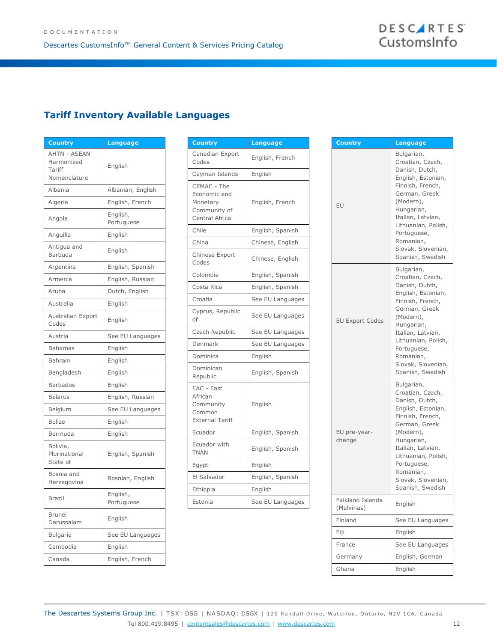# <span id="page-11-0"></span>**Tariff Inventory Available Languages**

| <b>Country</b>                                              | <b>Language</b>        |
|-------------------------------------------------------------|------------------------|
| <b>AHTN - ASEAN</b><br>Harmonized<br>Tariff<br>Nomenclature | English                |
| Albania                                                     | Albanian, English      |
| Algeria                                                     | English, French        |
| Angola                                                      | English,<br>Portuguese |
| Anguilla                                                    | English                |
| Antigua and<br>Barbuda                                      | English                |
| Argentina                                                   | English, Spanish       |
| Armenia                                                     | English, Russian       |
| Aruba                                                       | Dutch, English         |
| Australia                                                   | English                |
| Australian Export<br>Codes                                  | English                |
| Austria                                                     | See EU Languages       |
| <b>Bahamas</b>                                              | English                |
| <b>Bahrain</b>                                              | English                |
| Bangladesh                                                  | English                |
| <b>Barbados</b>                                             | English                |
| <b>Belarus</b>                                              | English, Russian       |
| Belgium                                                     | See EU Languages       |
| <b>Belize</b>                                               | English                |
| Bermuda                                                     | English                |
| Bolivia,<br>Plurinational<br>State of                       | English, Spanish       |
| Bosnia and<br>Herzegovina                                   | Bosnian, English       |
| Brazil                                                      | English,<br>Portuguese |
| <b>Brunei</b><br>Darussalam                                 | English                |
| <b>Bulgaria</b>                                             | See EU Languages       |
| Cambodia                                                    | English                |
| Canada                                                      | English, French        |

| <b>Country</b>                                                            | <b>Language</b>  |
|---------------------------------------------------------------------------|------------------|
| Canadian Export<br>Codes                                                  | English, French  |
| Cayman Islands                                                            | English          |
| CEMAC - The<br>Economic and<br>Monetary<br>Community of<br>Central Africa | English, French  |
| Chile                                                                     | English, Spanish |
| China                                                                     | Chinese, English |
| Chinese Export<br>Codes                                                   | Chinese, English |
| Colombia                                                                  | English, Spanish |
| Costa Rica                                                                | English, Spanish |
| Croatia                                                                   | See EU Languages |
| Cyprus, Republic<br>of                                                    | See EU Languages |
| Czech Republic                                                            | See EU Languages |
| Denmark                                                                   | See EU Languages |
| Dominica                                                                  | English          |
| Dominican<br>Republic                                                     | English, Spanish |
| EAC - East<br>African<br>Community<br>Common<br><b>External Tariff</b>    | English          |
| Ecuador                                                                   | English, Spanish |
| Ecuador with<br><b>TNAN</b>                                               | English, Spanish |
| Egypt                                                                     | English          |
| El Salvador                                                               | English, Spanish |
| Ethiopia                                                                  | English          |
| Estonia                                                                   | See EU Languages |

| Country                        | Language                                                                                                                                                                                                                                                 |
|--------------------------------|----------------------------------------------------------------------------------------------------------------------------------------------------------------------------------------------------------------------------------------------------------|
| EU                             | Bulgarian,<br>Croatian, Czech,<br>Danish, Dutch,<br>English, Estonian,<br>Finnish, French,<br>German, Greek<br>(Modern),<br>Hungarian,<br>Italian, Latvian,<br>Lithuanian, Polish,<br>Portuguese,<br>Romanian,<br>Slovak, Slovenian,<br>Spanish, Swedish |
| EU Export Codes                | Bulgarian,<br>Croatian, Czech,<br>Danish, Dutch,<br>English, Estonian,<br>Finnish, French,<br>German, Greek<br>(Modern),<br>Hungarian,<br>Italian, Latvian,<br>Lithuanian, Polish,<br>Portuguese,<br>Romanian,<br>Slovak, Slovenian,<br>Spanish, Swedish |
| EU pre-year-<br>change         | Bulgarian,<br>Croatian, Czech,<br>Danish, Dutch,<br>English, Estonian,<br>Finnish, French,<br>German, Greek<br>(Modern),<br>Hungarian,<br>Italian, Latvian,<br>Lithuanian, Polish,<br>Portuguese,<br>Romanian,<br>Slovak, Slovenian,<br>Spanish, Swedish |
| Falkland Islands<br>(Malvinas) | English                                                                                                                                                                                                                                                  |
| Finland                        | See EU Languages                                                                                                                                                                                                                                         |
| Fiji                           | English                                                                                                                                                                                                                                                  |
| France                         | See EU Languages                                                                                                                                                                                                                                         |
| Germany                        | English, German                                                                                                                                                                                                                                          |
| Ghana                          | English                                                                                                                                                                                                                                                  |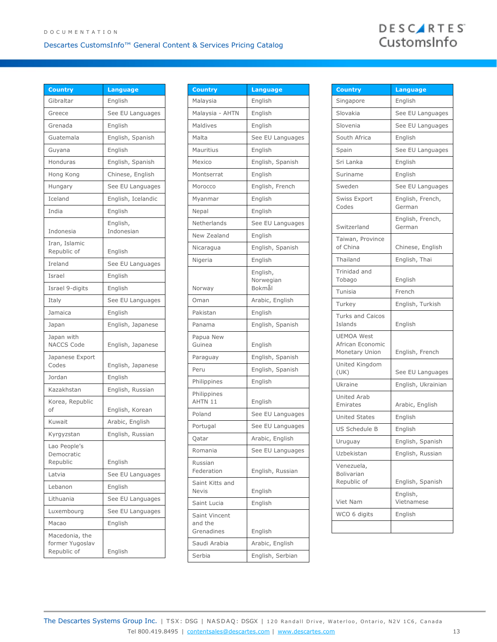# DESC⊿RTES<br>CustomsInfo

| <b>Country</b>                                   | <b>Language</b>        |
|--------------------------------------------------|------------------------|
| Gibraltar                                        | English                |
| Greece                                           | See EU Languages       |
| Grenada                                          | English                |
| Guatemala                                        | English, Spanish       |
| Guyana                                           | English                |
| Honduras                                         | English, Spanish       |
| Hong Kong                                        | Chinese, English       |
| Hungary                                          | See EU Languages       |
| Iceland                                          | English, Icelandic     |
| India                                            | English                |
| Indonesia                                        | English,<br>Indonesian |
| Iran, Islamic<br>Republic of                     | English                |
| Ireland                                          | See EU Languages       |
| Israel                                           | English                |
| Israel 9-digits                                  | English                |
| Italy                                            | See EU Languages       |
| Jamaica                                          | English                |
| Japan                                            | English, Japanese      |
| Japan with<br><b>NACCS Code</b>                  | English, Japanese      |
| Japanese Export<br>Codes                         | English, Japanese      |
| Jordan                                           | English                |
| Kazakhstan                                       | English, Russian       |
| Korea, Republic<br>оf                            | English, Korean        |
| Kuwait                                           | Arabic, English        |
| Kyrgyzstan                                       | English, Russian       |
| Lao People's<br>Democratic<br>Republic           | English                |
| Latvia                                           | See EU Languages       |
| Lebanon                                          | English                |
| Lithuania                                        | See EU Languages       |
| Luxembourg                                       | See EU Languages       |
| Macao                                            | English                |
| Macedonia, the<br>former Yugoslav<br>Republic of | English                |

| <b>Country</b>           | <b>Language</b>     |
|--------------------------|---------------------|
| Malaysia                 | English             |
| Malaysia - AHTN          | English             |
| Maldives                 | English             |
| Malta                    | See EU Languages    |
| Mauritius                | English             |
| Mexico                   | English, Spanish    |
| Montserrat               | English             |
| Morocco                  | English, French     |
| Myanmar                  | English             |
| Nepal                    | English             |
| Netherlands              | See EU Languages    |
| New Zealand              | English             |
| Nicaragua                | English, Spanish    |
| Nigeria                  | English             |
|                          | English,            |
| Norway                   | Norwegian<br>Bokmål |
| Oman                     | Arabic, English     |
| Pakistan                 | English             |
| Panama                   | English, Spanish    |
| Papua New                |                     |
| Guinea                   | English             |
| Paraguay                 | English, Spanish    |
| Peru                     | English, Spanish    |
| Philippines              | English             |
| Philippines<br>AHTN 11   | English             |
| Poland                   | See EU Languages    |
| Portugal                 | See EU Languages    |
| Qatar                    | Arabic, English     |
| Romania                  | See EU Languages    |
| Russian<br>Federation    | English, Russian    |
| Saint Kitts and<br>Nevis | English             |
| Saint Lucia              | English             |
| Saint Vincent<br>and the |                     |
| Grenadines               | English             |
| Saudi Arabia             | Arabic, English     |
| Serbia                   | English, Serbian    |

| <b>Country</b>                                          | <b>Language</b>            |
|---------------------------------------------------------|----------------------------|
|                                                         |                            |
| Singapore                                               | English                    |
| Slovakia                                                | See EU Languages           |
| Slovenia                                                | See EU Languages           |
| South Africa                                            | English                    |
| Spain                                                   | See EU Languages           |
| Sri Lanka                                               | English                    |
| Suriname                                                | English                    |
| Sweden                                                  | See EU Languages           |
| <b>Swiss Export</b><br>Codes                            | English, French,<br>German |
| Switzerland                                             | English, French,<br>German |
| Taiwan, Province<br>of China                            | Chinese, English           |
| Thailand                                                | English, Thai              |
| Trinidad and<br>Tobago                                  | English                    |
| Tunisia                                                 | French                     |
| Turkey                                                  | English, Turkish           |
| <b>Turks and Caicos</b><br>Islands                      | English                    |
| <b>UEMOA West</b><br>African Economic<br>Monetary Union | English, French            |
| United Kingdom<br>(UK)                                  | See EU Languages           |
| Ukraine                                                 | English, Ukrainian         |
| <b>United Arab</b><br>Emirates                          | Arabic, English            |
| <b>United States</b>                                    | English                    |
| <b>US Schedule B</b>                                    | English                    |
| Uruguay                                                 | English, Spanish           |
| Uzbekistan                                              | English, Russian           |
| Venezuela,<br>Bolivarian<br>Republic of                 | English, Spanish           |
| Viet Nam                                                | English,<br>Vietnamese     |
| WCO 6 digits                                            | English                    |
|                                                         |                            |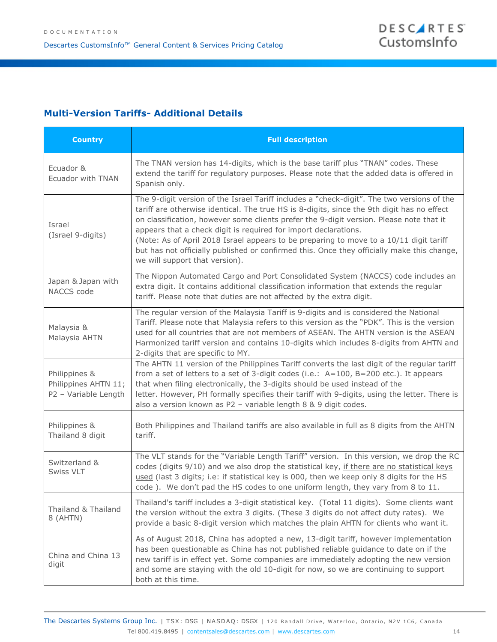# <span id="page-13-0"></span>**Multi-Version Tariffs- Additional Details**

| <b>Country</b>                                                | <b>Full description</b>                                                                                                                                                                                                                                                                                                                                                                                                                                                                                                                                                          |
|---------------------------------------------------------------|----------------------------------------------------------------------------------------------------------------------------------------------------------------------------------------------------------------------------------------------------------------------------------------------------------------------------------------------------------------------------------------------------------------------------------------------------------------------------------------------------------------------------------------------------------------------------------|
| Ecuador &<br>Ecuador with TNAN                                | The TNAN version has 14-digits, which is the base tariff plus "TNAN" codes. These<br>extend the tariff for regulatory purposes. Please note that the added data is offered in<br>Spanish only.                                                                                                                                                                                                                                                                                                                                                                                   |
| Israel<br>(Israel 9-digits)                                   | The 9-digit version of the Israel Tariff includes a "check-digit". The two versions of the<br>tariff are otherwise identical. The true HS is 8-digits, since the 9th digit has no effect<br>on classification, however some clients prefer the 9-digit version. Please note that it<br>appears that a check digit is required for import declarations.<br>(Note: As of April 2018 Israel appears to be preparing to move to a 10/11 digit tariff<br>but has not officially published or confirmed this. Once they officially make this change,<br>we will support that version). |
| Japan & Japan with<br>NACCS code                              | The Nippon Automated Cargo and Port Consolidated System (NACCS) code includes an<br>extra digit. It contains additional classification information that extends the regular<br>tariff. Please note that duties are not affected by the extra digit.                                                                                                                                                                                                                                                                                                                              |
| Malaysia &<br>Malaysia AHTN                                   | The regular version of the Malaysia Tariff is 9-digits and is considered the National<br>Tariff. Please note that Malaysia refers to this version as the "PDK". This is the version<br>used for all countries that are not members of ASEAN. The AHTN version is the ASEAN<br>Harmonized tariff version and contains 10-digits which includes 8-digits from AHTN and<br>2-digits that are specific to MY.                                                                                                                                                                        |
| Philippines &<br>Philippines AHTN 11;<br>P2 - Variable Length | The AHTN 11 version of the Philippines Tariff converts the last digit of the regular tariff<br>from a set of letters to a set of 3-digit codes (i.e.: A=100, B=200 etc.). It appears<br>that when filing electronically, the 3-digits should be used instead of the<br>letter. However, PH formally specifies their tariff with 9-digits, using the letter. There is<br>also a version known as P2 - variable length 8 & 9 digit codes.                                                                                                                                          |
| Philippines &<br>Thailand 8 digit                             | Both Philippines and Thailand tariffs are also available in full as 8 digits from the AHTN<br>tariff.                                                                                                                                                                                                                                                                                                                                                                                                                                                                            |
| Switzerland &<br>Swiss VLT                                    | The VLT stands for the "Variable Length Tariff" version. In this version, we drop the RC<br>codes (digits 9/10) and we also drop the statistical key, if there are no statistical keys<br>used (last 3 digits; i.e: if statistical key is 000, then we keep only 8 digits for the HS<br>code). We don't pad the HS codes to one uniform length, they vary from 8 to 11.                                                                                                                                                                                                          |
| Thailand & Thailand<br>8 (AHTN)                               | Thailand's tariff includes a 3-digit statistical key. (Total 11 digits). Some clients want<br>the version without the extra 3 digits. (These 3 digits do not affect duty rates). We<br>provide a basic 8-digit version which matches the plain AHTN for clients who want it.                                                                                                                                                                                                                                                                                                     |
| China and China 13<br>digit                                   | As of August 2018, China has adopted a new, 13-digit tariff, however implementation<br>has been questionable as China has not published reliable guidance to date on if the<br>new tariff is in effect yet. Some companies are immediately adopting the new version<br>and some are staying with the old 10-digit for now, so we are continuing to support<br>both at this time.                                                                                                                                                                                                 |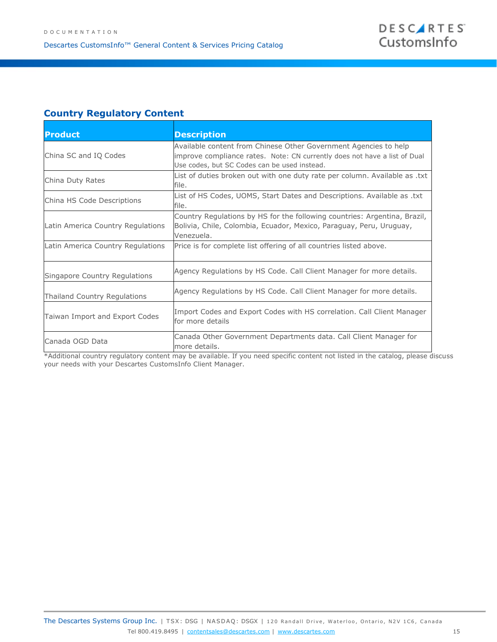# <span id="page-14-0"></span>**Country Regulatory Content**

| <b>Product</b>                      | Description                                                                                                                                                                                   |
|-------------------------------------|-----------------------------------------------------------------------------------------------------------------------------------------------------------------------------------------------|
| China SC and IQ Codes               | Available content from Chinese Other Government Agencies to help<br>improve compliance rates. Note: CN currently does not have a list of Dual<br>Use codes, but SC Codes can be used instead. |
| China Duty Rates                    | List of duties broken out with one duty rate per column. Available as .txt<br>file.                                                                                                           |
| China HS Code Descriptions          | List of HS Codes, UOMS, Start Dates and Descriptions. Available as .txt<br>file.                                                                                                              |
| Latin America Country Regulations   | Country Regulations by HS for the following countries: Argentina, Brazil,<br>Bolivia, Chile, Colombia, Ecuador, Mexico, Paraguay, Peru, Uruguay,<br>Venezuela.                                |
| Latin America Country Regulations   | Price is for complete list offering of all countries listed above.                                                                                                                            |
| Singapore Country Regulations       | Agency Regulations by HS Code. Call Client Manager for more details.                                                                                                                          |
| <b>Thailand Country Regulations</b> | Agency Regulations by HS Code. Call Client Manager for more details.                                                                                                                          |
| Taiwan Import and Export Codes      | Import Codes and Export Codes with HS correlation. Call Client Manager<br>for more details                                                                                                    |
| Canada OGD Data                     | Canada Other Government Departments data. Call Client Manager for<br>more details.                                                                                                            |

\*Additional country regulatory content may be available. If you need specific content not listed in the catalog, please discuss your needs with your Descartes CustomsInfo Client Manager.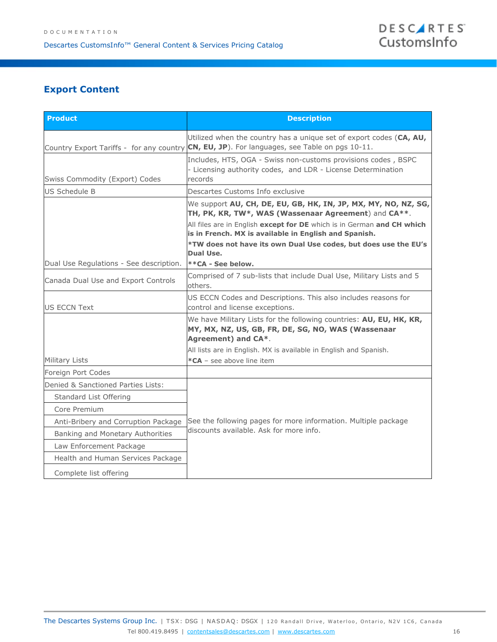# <span id="page-15-0"></span>**Export Content**

| <b>Product</b>                          | <b>Description</b>                                                                                                                                                                                                                                                                                                                        |  |  |  |
|-----------------------------------------|-------------------------------------------------------------------------------------------------------------------------------------------------------------------------------------------------------------------------------------------------------------------------------------------------------------------------------------------|--|--|--|
|                                         | Utilized when the country has a unique set of export codes (CA, AU,<br>Country Export Tariffs - for any country CN, EU, JP). For languages, see Table on pgs 10-11.                                                                                                                                                                       |  |  |  |
| Swiss Commodity (Export) Codes          | Includes, HTS, OGA - Swiss non-customs provisions codes, BSPC<br>- Licensing authority codes, and LDR - License Determination<br>records                                                                                                                                                                                                  |  |  |  |
| <b>US Schedule B</b>                    | Descartes Customs Info exclusive                                                                                                                                                                                                                                                                                                          |  |  |  |
|                                         | We support AU, CH, DE, EU, GB, HK, IN, JP, MX, MY, NO, NZ, SG,<br>TH, PK, KR, TW*, WAS (Wassenaar Agreement) and CA**.<br>All files are in English except for DE which is in German and CH which<br>is in French. MX is available in English and Spanish.<br>*TW does not have its own Dual Use codes, but does use the EU's<br>Dual Use. |  |  |  |
| Dual Use Regulations - See description. | **CA - See below.                                                                                                                                                                                                                                                                                                                         |  |  |  |
| Canada Dual Use and Export Controls     | Comprised of 7 sub-lists that include Dual Use, Military Lists and 5<br>others.                                                                                                                                                                                                                                                           |  |  |  |
| <b>US ECCN Text</b>                     | US ECCN Codes and Descriptions. This also includes reasons for<br>control and license exceptions.                                                                                                                                                                                                                                         |  |  |  |
|                                         | We have Military Lists for the following countries: AU, EU, HK, KR,<br>MY, MX, NZ, US, GB, FR, DE, SG, NO, WAS (Wassenaar<br>Agreement) and CA*.<br>All lists are in English. MX is available in English and Spanish.                                                                                                                     |  |  |  |
| Military Lists                          | *CA - see above line item                                                                                                                                                                                                                                                                                                                 |  |  |  |
| Foreign Port Codes                      |                                                                                                                                                                                                                                                                                                                                           |  |  |  |
| Denied & Sanctioned Parties Lists:      |                                                                                                                                                                                                                                                                                                                                           |  |  |  |
| Standard List Offering                  |                                                                                                                                                                                                                                                                                                                                           |  |  |  |
| Core Premium                            |                                                                                                                                                                                                                                                                                                                                           |  |  |  |
| Anti-Bribery and Corruption Package     | See the following pages for more information. Multiple package                                                                                                                                                                                                                                                                            |  |  |  |
| Banking and Monetary Authorities        | discounts available. Ask for more info.                                                                                                                                                                                                                                                                                                   |  |  |  |
| Law Enforcement Package                 |                                                                                                                                                                                                                                                                                                                                           |  |  |  |
| Health and Human Services Package       |                                                                                                                                                                                                                                                                                                                                           |  |  |  |
| Complete list offering                  |                                                                                                                                                                                                                                                                                                                                           |  |  |  |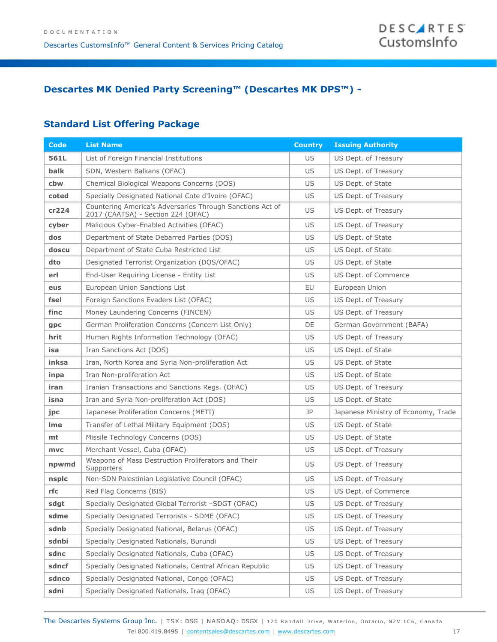# <span id="page-16-0"></span>**Descartes MK Denied Party Screening™ (Descartes MK DPS™) -**

## <span id="page-16-1"></span>**Standard List Offering Package**

| <b>Code</b> | <b>List Name</b>                                                                                | <b>Country</b> | <b>Issuing Authority</b>            |
|-------------|-------------------------------------------------------------------------------------------------|----------------|-------------------------------------|
| 561L        | List of Foreign Financial Institutions                                                          | US.            | US Dept. of Treasury                |
| balk        | SDN, Western Balkans (OFAC)                                                                     | US.            | US Dept. of Treasury                |
| cbw         | Chemical Biological Weapons Concerns (DOS)                                                      | US             | US Dept. of State                   |
| coted       | Specially Designated National Cote d'Ivoire (OFAC)                                              | US             | US Dept. of Treasury                |
| cr224       | Countering America's Adversaries Through Sanctions Act of<br>2017 (CAATSA) - Section 224 (OFAC) | US             | US Dept. of Treasury                |
| cyber       | Malicious Cyber-Enabled Activities (OFAC)                                                       | US.            | US Dept. of Treasury                |
| dos         | Department of State Debarred Parties (DOS)                                                      | US             | US Dept. of State                   |
| doscu       | Department of State Cuba Restricted List                                                        | US             | US Dept. of State                   |
| dto         | Designated Terrorist Organization (DOS/OFAC)                                                    | US             | US Dept. of State                   |
| erl         | End-User Requiring License - Entity List                                                        | US             | US Dept. of Commerce                |
| eus         | European Union Sanctions List                                                                   | EU             | European Union                      |
| fsel        | Foreign Sanctions Evaders List (OFAC)                                                           | US             | US Dept. of Treasury                |
| finc        | Money Laundering Concerns (FINCEN)                                                              | US             | US Dept. of Treasury                |
| gpc         | German Proliferation Concerns (Concern List Only)                                               | DE             | German Government (BAFA)            |
| hrit        | Human Rights Information Technology (OFAC)                                                      | US             | US Dept. of Treasury                |
| isa         | Iran Sanctions Act (DOS)                                                                        | US             | US Dept. of State                   |
| inksa       | Iran, North Korea and Syria Non-proliferation Act                                               | US.            | US Dept. of State                   |
| inpa        | Iran Non-proliferation Act                                                                      | US             | US Dept. of State                   |
| iran        | Iranian Transactions and Sanctions Regs. (OFAC)                                                 | US             | US Dept. of Treasury                |
| isna        | Iran and Syria Non-proliferation Act (DOS)                                                      | US             | US Dept. of State                   |
| jpc         | Japanese Proliferation Concerns (METI)                                                          | JP             | Japanese Ministry of Economy, Trade |
| Ime         | Transfer of Lethal Military Equipment (DOS)                                                     | US.            | US Dept. of State                   |
| mt          | Missile Technology Concerns (DOS)                                                               | US             | US Dept. of State                   |
| mvc         | Merchant Vessel, Cuba (OFAC)                                                                    | US             | US Dept. of Treasury                |
| npwmd       | Weapons of Mass Destruction Proliferators and Their<br>Supporters                               | US             | US Dept. of Treasury                |
| nsplc       | Non-SDN Palestinian Legislative Council (OFAC)                                                  | US             | US Dept. of Treasury                |
| rfc         | Red Flag Concerns (BIS)                                                                         | US             | US Dept. of Commerce                |
| sdgt        | Specially Designated Global Terrorist -SDGT (OFAC)                                              | US             | US Dept. of Treasury                |
| sdme        | Specially Designated Terrorists - SDME (OFAC)                                                   | US             | US Dept. of Treasury                |
| sdnb        | Specially Designated National, Belarus (OFAC)                                                   | US             | US Dept. of Treasury                |
| sdnbi       | Specially Designated Nationals, Burundi                                                         | US             | US Dept. of Treasury                |
| sdnc        | Specially Designated Nationals, Cuba (OFAC)                                                     | US             | US Dept. of Treasury                |
| sdncf       | Specially Designated Nationals, Central African Republic                                        | US             | US Dept. of Treasury                |
| sdnco       | Specially Designated National, Congo (OFAC)                                                     | US             | US Dept. of Treasury                |
| sdni        | Specially Designated Nationals, Iraq (OFAC)                                                     | US             | US Dept. of Treasury                |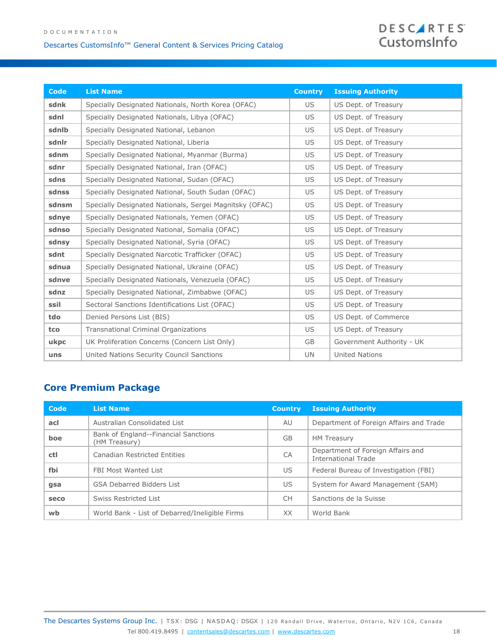| <b>Code</b> | <b>List Name</b>                                        | <b>Country</b> | <b>Issuing Authority</b>  |
|-------------|---------------------------------------------------------|----------------|---------------------------|
| sdnk        | Specially Designated Nationals, North Korea (OFAC)      | US.            | US Dept. of Treasury      |
| sdnl        | Specially Designated Nationals, Libya (OFAC)            | <b>US</b>      | US Dept. of Treasury      |
| sdnlb       | Specially Designated National, Lebanon                  | <b>US</b>      | US Dept. of Treasury      |
| sdnlr       | Specially Designated National, Liberia                  | US             | US Dept. of Treasury      |
| sdnm        | Specially Designated National, Myanmar (Burma)          | <b>US</b>      | US Dept. of Treasury      |
| sdnr        | Specially Designated National, Iran (OFAC)              | US             | US Dept. of Treasury      |
| sdns        | Specially Designated National, Sudan (OFAC)             | US.            | US Dept. of Treasury      |
| sdnss       | Specially Designated National, South Sudan (OFAC)       | US             | US Dept. of Treasury      |
| sdnsm       | Specially Designated Nationals, Sergei Magnitsky (OFAC) | US.            | US Dept. of Treasury      |
| sdnye       | Specially Designated Nationals, Yemen (OFAC)            | US.            | US Dept. of Treasury      |
| sdnso       | Specially Designated National, Somalia (OFAC)           | <b>US</b>      | US Dept. of Treasury      |
| sdnsy       | Specially Designated National, Syria (OFAC)             | US.            | US Dept. of Treasury      |
| sdnt        | Specially Designated Narcotic Trafficker (OFAC)         | US.            | US Dept. of Treasury      |
| sdnua       | Specially Designated National, Ukraine (OFAC)           | <b>US</b>      | US Dept. of Treasury      |
| sdnve       | Specially Designated Nationals, Venezuela (OFAC)        | US             | US Dept. of Treasury      |
| sdnz        | Specially Designated National, Zimbabwe (OFAC)          | US.            | US Dept. of Treasury      |
| ssil        | Sectoral Sanctions Identifications List (OFAC)          | <b>US</b>      | US Dept. of Treasury      |
| tdo         | Denied Persons List (BIS)                               | US.            | US Dept. of Commerce      |
| tco         | <b>Transnational Criminal Organizations</b>             | <b>US</b>      | US Dept. of Treasury      |
| ukpc        | UK Proliferation Concerns (Concern List Only)           | GB             | Government Authority - UK |
| uns         | United Nations Security Council Sanctions               | <b>UN</b>      | <b>United Nations</b>     |

# <span id="page-17-0"></span>**Core Premium Package**

| Code | <b>List Name</b>                                      | <b>Country</b> | <b>Issuing Authority</b>                                        |
|------|-------------------------------------------------------|----------------|-----------------------------------------------------------------|
| acl  | Australian Consolidated List                          | AU             | Department of Foreign Affairs and Trade                         |
| boe  | Bank of England--Financial Sanctions<br>(HM Treasury) | GB.            | <b>HM Treasury</b>                                              |
| ctl  | Canadian Restricted Entities                          | CA             | Department of Foreign Affairs and<br><b>International Trade</b> |
| fbi  | FBI Most Wanted List                                  | US.            | Federal Bureau of Investigation (FBI)                           |
| qsa  | <b>GSA Debarred Bidders List</b>                      | US.            | System for Award Management (SAM)                               |
| seco | Swiss Restricted List                                 | <b>CH</b>      | Sanctions de la Suisse                                          |
| wb   | World Bank - List of Debarred/Ineligible Firms        | XX             | World Bank                                                      |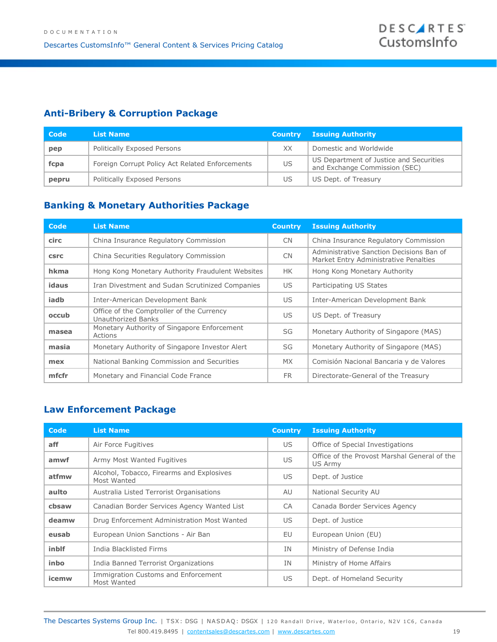## <span id="page-18-0"></span>**Anti-Bribery & Corruption Package**

| Code  | List Name                                       | <b>Country</b> | <b>Issuing Authority</b>                                                 |
|-------|-------------------------------------------------|----------------|--------------------------------------------------------------------------|
| pep   | <b>Politically Exposed Persons</b>              | XX             | Domestic and Worldwide                                                   |
| fcpa  | Foreign Corrupt Policy Act Related Enforcements | US             | US Department of Justice and Securities<br>and Exchange Commission (SEC) |
| pepru | <b>Politically Exposed Persons</b>              | US             | US Dept. of Treasury                                                     |

# <span id="page-18-1"></span>**Banking & Monetary Authorities Package**

| <b>Code</b> | <b>List Name</b>                                                | <b>Country</b> | <b>Issuing Authority</b>                                                          |
|-------------|-----------------------------------------------------------------|----------------|-----------------------------------------------------------------------------------|
| circ        | China Insurance Regulatory Commission                           | <b>CN</b>      | China Insurance Regulatory Commission                                             |
| <b>CSrC</b> | China Securities Regulatory Commission                          | <b>CN</b>      | Administrative Sanction Decisions Ban of<br>Market Entry Administrative Penalties |
| hkma        | Hong Kong Monetary Authority Fraudulent Websites                | HK.            | Hong Kong Monetary Authority                                                      |
| idaus       | Iran Divestment and Sudan Scrutinized Companies                 | US             | Participating US States                                                           |
| iadb        | Inter-American Development Bank                                 | US             | Inter-American Development Bank                                                   |
| occub       | Office of the Comptroller of the Currency<br>Unauthorized Banks | US             | US Dept. of Treasury                                                              |
| masea       | Monetary Authority of Singapore Enforcement<br>Actions          | SG             | Monetary Authority of Singapore (MAS)                                             |
| masia       | Monetary Authority of Singapore Investor Alert                  | SG             | Monetary Authority of Singapore (MAS)                                             |
| mex         | National Banking Commission and Securities                      | <b>MX</b>      | Comisión Nacional Bancaria y de Valores                                           |
| mfcfr       | Monetary and Financial Code France                              | FR.            | Directorate-General of the Treasury                                               |

# <span id="page-18-2"></span>**Law Enforcement Package**

| Code  | <b>List Name</b>                                          | <b>Country</b> | <b>Issuing Authority</b>                                |
|-------|-----------------------------------------------------------|----------------|---------------------------------------------------------|
| aff   | Air Force Fugitives                                       | US.            | Office of Special Investigations                        |
| amwf  | Army Most Wanted Fugitives                                | US             | Office of the Provost Marshal General of the<br>US Army |
| atfmw | Alcohol, Tobacco, Firearms and Explosives<br>Most Wanted  | US.            | Dept. of Justice                                        |
| aulto | Australia Listed Terrorist Organisations                  | AU             | National Security AU                                    |
| cbsaw | Canadian Border Services Agency Wanted List               | <b>CA</b>      | Canada Border Services Agency                           |
| deamw | Drug Enforcement Administration Most Wanted               | US             | Dept. of Justice                                        |
| eusab | European Union Sanctions - Air Ban                        | EU             | European Union (EU)                                     |
| inblf | India Blacklisted Firms                                   | IN             | Ministry of Defense India                               |
| inbo  | India Banned Terrorist Organizations                      | <b>IN</b>      | Ministry of Home Affairs                                |
| icemw | <b>Immigration Customs and Enforcement</b><br>Most Wanted | US.            | Dept. of Homeland Security                              |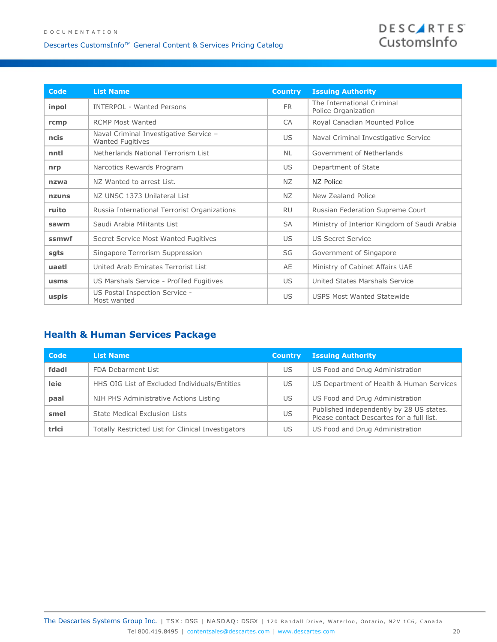| Code  | <b>List Name</b>                                                  | <b>Country</b> | <b>Issuing Authority</b>                          |
|-------|-------------------------------------------------------------------|----------------|---------------------------------------------------|
| inpol | <b>INTERPOL - Wanted Persons</b>                                  | <b>FR</b>      | The International Criminal<br>Police Organization |
| rcmp  | <b>RCMP Most Wanted</b>                                           | CA             | Royal Canadian Mounted Police                     |
| ncis  | Naval Criminal Investigative Service -<br><b>Wanted Fugitives</b> | <b>US</b>      | Naval Criminal Investigative Service              |
| nntl  | Netherlands National Terrorism List                               | <b>NL</b>      | Government of Netherlands                         |
| nrp   | Narcotics Rewards Program                                         | US             | Department of State                               |
| nzwa  | NZ Wanted to arrest List.                                         | NZ             | NZ Police                                         |
| nzuns | NZ UNSC 1373 Unilateral List                                      | NZ             | New Zealand Police                                |
| ruito | Russia International Terrorist Organizations                      | <b>RU</b>      | Russian Federation Supreme Court                  |
| sawm  | Saudi Arabia Militants List                                       | SA             | Ministry of Interior Kingdom of Saudi Arabia      |
| ssmwf | Secret Service Most Wanted Fugitives                              | <b>US</b>      | <b>US Secret Service</b>                          |
| sgts  | Singapore Terrorism Suppression                                   | SG             | Government of Singapore                           |
| uaetl | United Arab Emirates Terrorist List                               | AE             | Ministry of Cabinet Affairs UAE                   |
| usms  | US Marshals Service - Profiled Fugitives                          | US.            | United States Marshals Service                    |
| uspis | US Postal Inspection Service -<br>Most wanted                     | US             | <b>USPS Most Wanted Statewide</b>                 |

# <span id="page-19-0"></span>**Health & Human Services Package**

| Code  | <b>List Name</b>                                   | <b>Country</b> | <b>Issuing Authority</b>                                                              |
|-------|----------------------------------------------------|----------------|---------------------------------------------------------------------------------------|
| fdadl | FDA Debarment List                                 | US             | US Food and Drug Administration                                                       |
| leie  | HHS OIG List of Excluded Individuals/Entities      | US             | US Department of Health & Human Services                                              |
| paal  | NIH PHS Administrative Actions Listing             | US             | US Food and Drug Administration                                                       |
| smel  | <b>State Medical Exclusion Lists</b>               | US             | Published independently by 28 US states.<br>Please contact Descartes for a full list. |
| trlci | Totally Restricted List for Clinical Investigators | US             | US Food and Drug Administration                                                       |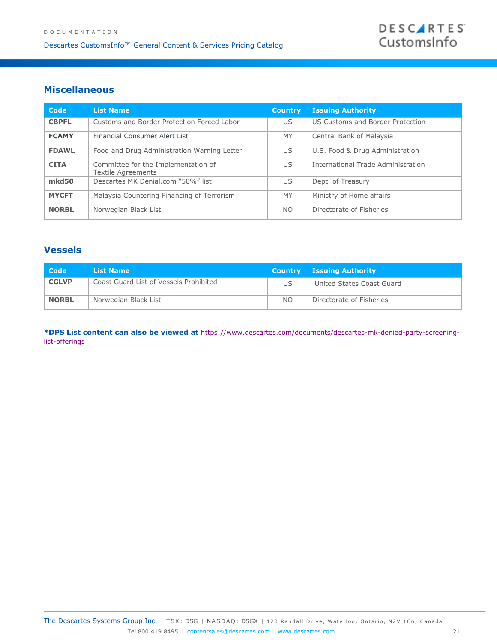#### <span id="page-20-0"></span>**Miscellaneous**

| Code         | <b>List Name</b>                                          | <b>Country</b> | <b>Issuing Authority</b>           |
|--------------|-----------------------------------------------------------|----------------|------------------------------------|
| <b>CBPFL</b> | Customs and Border Protection Forced Labor                | US.            | US Customs and Border Protection   |
| <b>FCAMY</b> | Financial Consumer Alert List                             | MY.            | Central Bank of Malaysia           |
| <b>FDAWL</b> | Food and Drug Administration Warning Letter               | US.            | U.S. Food & Drug Administration    |
| <b>CITA</b>  | Committee for the Implementation of<br>Textile Agreements | US.            | International Trade Administration |
| mkd50        | Descartes MK Denial.com "50%" list                        | US.            | Dept. of Treasury                  |
| <b>MYCFT</b> | Malaysia Countering Financing of Terrorism                | <b>MY</b>      | Ministry of Home affairs           |
| <b>NORBL</b> | Norwegian Black List                                      | <b>NO</b>      | Directorate of Fisheries           |

#### <span id="page-20-1"></span>**Vessels**

| Code         | <b>List Name</b>                       |           | Country Issuing Authority |
|--------------|----------------------------------------|-----------|---------------------------|
| <b>CGLVP</b> | Coast Guard List of Vessels Prohibited | US        | United States Coast Guard |
| <b>NORBL</b> | Norwegian Black List                   | <b>NO</b> | Directorate of Fisheries  |

**\*DPS List content can also be viewed at** [https://www.descartes.com/documents/descartes-mk-denied-party-screening](https://webmail.descartes.com/owa/redir.aspx?SURL=9LfO_Ae3AmrwSpcwtap59wvuzZ-6oyuToppyyYaXLgr-BC0i6EDVCGgAdAB0AHAAcwA6AC8ALwB3AHcAdwAuAGQAZQBzAGMAYQByAHQAZQBzAC4AYwBvAG0ALwBkAG8AYwB1AG0AZQBuAHQAcwAvAGQAZQBzAGMAYQByAHQAZQBzAC0AbQBrAC0AZABlAG4AaQBlAGQALQBwAGEAcgB0AHkALQBzAGMAcgBlAGUAbgBpAG4AZwAtAGwAaQBzAHQALQBvAGYAZgBlAHIAaQBuAGcAcwA.&URL=https%3a%2f%2fwww.descartes.com%2fdocuments%2fdescartes-mk-denied-party-screening-list-offerings)[list-offerings](https://webmail.descartes.com/owa/redir.aspx?SURL=9LfO_Ae3AmrwSpcwtap59wvuzZ-6oyuToppyyYaXLgr-BC0i6EDVCGgAdAB0AHAAcwA6AC8ALwB3AHcAdwAuAGQAZQBzAGMAYQByAHQAZQBzAC4AYwBvAG0ALwBkAG8AYwB1AG0AZQBuAHQAcwAvAGQAZQBzAGMAYQByAHQAZQBzAC0AbQBrAC0AZABlAG4AaQBlAGQALQBwAGEAcgB0AHkALQBzAGMAcgBlAGUAbgBpAG4AZwAtAGwAaQBzAHQALQBvAGYAZgBlAHIAaQBuAGcAcwA.&URL=https%3a%2f%2fwww.descartes.com%2fdocuments%2fdescartes-mk-denied-party-screening-list-offerings)